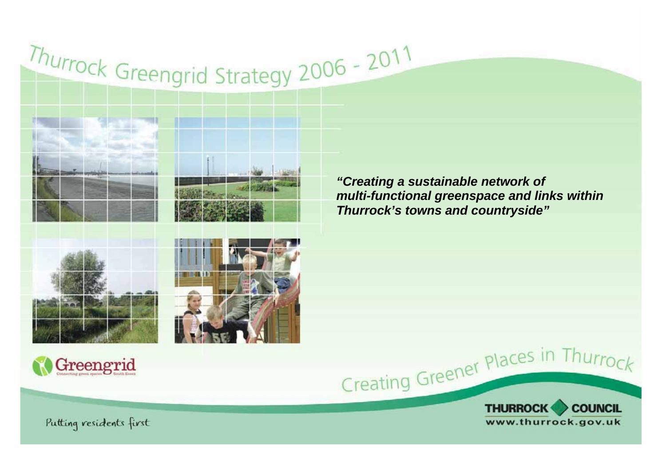# Thurrock Greengrid Strategy 2006 - 2011





*"Creating a sustainable network of multi-functional greenspace and links within Thurrock's towns and countryside"* 











Putting residents first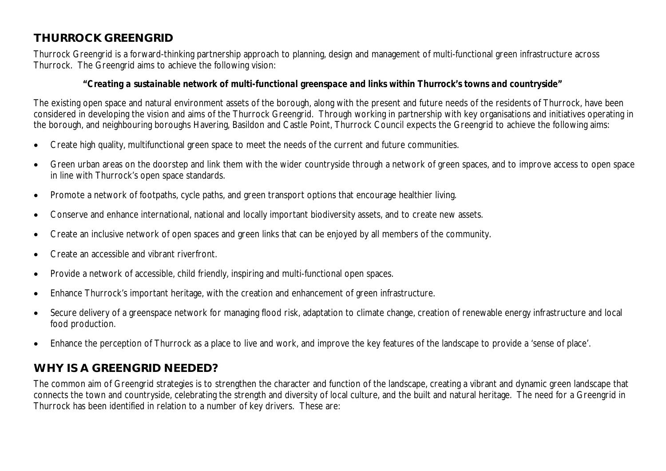# **THURROCK GREENGRID**

Thurrock Greengrid is a forward-thinking partnership approach to planning, design and management of multi-functional green infrastructure across Thurrock. The Greengrid aims to achieve the following vision:

## *"Creating a sustainable network of multi-functional greenspace and links within Thurrock's towns and countryside"*

The existing open space and natural environment assets of the borough, along with the present and future needs of the residents of Thurrock, have been considered in developing the vision and aims of the Thurrock Greengrid. Through working in partnership with key organisations and initiatives operating in the borough, and neighbouring boroughs Havering, Basildon and Castle Point, Thurrock Council expects the Greengrid to achieve the following aims:

- Create high quality, multifunctional green space to meet the needs of the current and future communities.
- Green urban areas on the doorstep and link them with the wider countryside through a network of green spaces, and to improve access to open space in line with Thurrock's open space standards.
- Promote a network of footpaths, cycle paths, and green transport options that encourage healthier living.
- Conserve and enhance international, national and locally important biodiversity assets, and to create new assets.
- Create an inclusive network of open spaces and green links that can be enjoyed by all members of the community.
- Create an accessible and vibrant riverfront.
- Provide a network of accessible, child friendly, inspiring and multi-functional open spaces.
- Enhance Thurrock's important heritage, with the creation and enhancement of green infrastructure.
- Secure delivery of a greenspace network for managing flood risk, adaptation to climate change, creation of renewable energy infrastructure and local food production.
- Enhance the perception of Thurrock as a place to live and work, and improve the key features of the landscape to provide a 'sense of place'.

# **WHY IS A GREENGRID NEEDED?**

The common aim of Greengrid strategies is to strengthen the character and function of the landscape, creating a vibrant and dynamic green landscape that connects the town and countryside, celebrating the strength and diversity of local culture, and the built and natural heritage. The need for a Greengrid in Thurrock has been identified in relation to a number of key drivers. These are: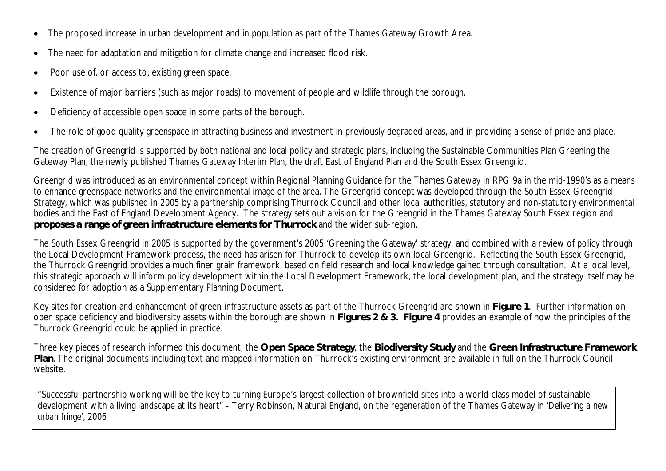- The proposed increase in urban development and in population as part of the Thames Gateway Growth Area.
- The need for adaptation and mitigation for climate change and increased flood risk.
- Poor use of, or access to, existing green space.
- Existence of major barriers (such as major roads) to movement of people and wildlife through the borough.
- Deficiency of accessible open space in some parts of the borough.
- The role of good quality greenspace in attracting business and investment in previously degraded areas, and in providing a sense of pride and place.

The creation of Greengrid is supported by both national and local policy and strategic plans, including the Sustainable Communities Plan Greening the Gateway Plan, the newly published Thames Gateway Interim Plan, the draft East of England Plan and the South Essex Greengrid.

Greengrid was introduced as an environmental concept within Regional Planning Guidance for the Thames Gateway in RPG 9a in the mid-1990's as a means to enhance greenspace networks and the environmental image of the area. The Greengrid concept was developed through the South Essex Greengrid Strategy, which was published in 2005 by a partnership comprising Thurrock Council and other local authorities, statutory and non-statutory environmental bodies and the East of England Development Agency. The strategy sets out a vision for the Greengrid in the Thames Gateway South Essex region and **proposes a range of green infrastructure elements for Thurrock** and the wider sub-region.

The South Essex Greengrid in 2005 is supported by the government's 2005 'Greening the Gateway' strategy, and combined with a review of policy through the Local Development Framework process, the need has arisen for Thurrock to develop its own local Greengrid. Reflecting the South Essex Greengrid, the Thurrock Greengrid provides a much finer grain framework, based on field research and local knowledge gained through consultation. At a local level, this strategic approach will inform policy development within the Local Development Framework, the local development plan, and the strategy itself may be considered for adoption as a Supplementary Planning Document.

Key sites for creation and enhancement of green infrastructure assets as part of the Thurrock Greengrid are shown in **Figure 1**. Further information on open space deficiency and biodiversity assets within the borough are shown in **Figures 2 & 3. Figure 4** provides an example of how the principles of the Thurrock Greengrid could be applied in practice.

Three key pieces of research informed this document, the **Open Space Strategy**, the **Biodiversity Study** and the **Green Infrastructure Framework Plan**. The original documents including text and mapped information on Thurrock's existing environment are available in full on the Thurrock Council website.

"Successful partnership working will be the key to turning Europe's largest collection of brownfield sites into a world-class model of sustainable development with a living landscape at its heart" - Terry Robinson, Natural England, on the regeneration of the Thames Gateway in *'Delivering a new urban fringe'*, 2006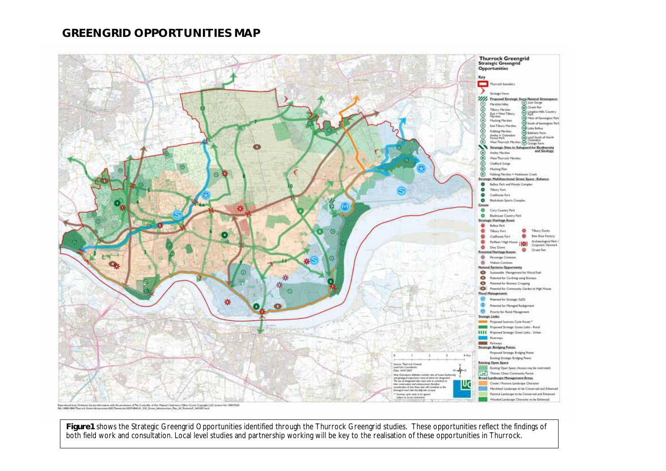## **GREENGRID OPPORTUNITIES MAP**



**Figure1** shows the Strategic Greengrid Opportunities identified through the Thurrock Greengrid studies. These opportunities reflect the findings of both field work and consultation. Local level studies and partnership working will be key to the realisation of these opportunities in Thurrock.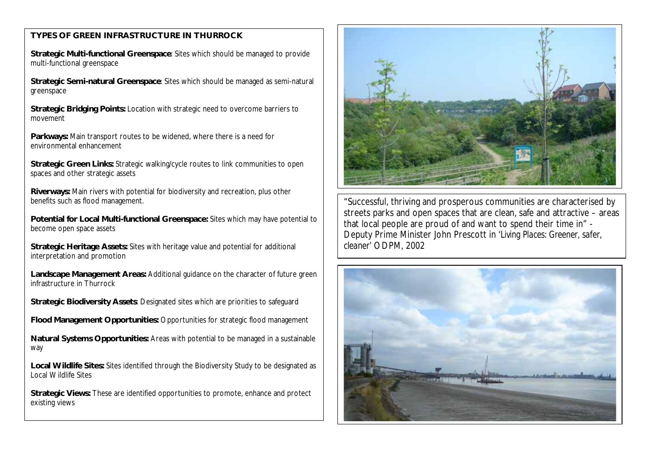## **TYPES OF GREEN INFRASTRUCTURE IN THURROCK**

**Strategic Multi-functional Greenspace**: Sites which should be managed to provide multi-functional greenspace

**Strategic Semi-natural Greenspace**: Sites which should be managed as semi-natural greenspace

**Strategic Bridging Points:** Location with strategic need to overcome barriers to movement

**Parkways:** Main transport routes to be widened, where there is a need for environmental enhancement

**Strategic Green Links:** Strategic walking/cycle routes to link communities to open spaces and other strategic assets

**Riverways:** Main rivers with potential for biodiversity and recreation, plus other benefits such as flood management.

**Potential for Local Multi-functional Greenspace:** Sites which may have potential to become open space assets

**Strategic Heritage Assets:** Sites with heritage value and potential for additional interpretation and promotion

**Landscape Management Areas:** Additional guidance on the character of future green infrastructure in Thurrock

**Strategic Biodiversity Assets**: Designated sites which are priorities to safeguard

**Flood Management Opportunities:** Opportunities for strategic flood management

**Natural Systems Opportunities:** Areas with potential to be managed in a sustainable way

**Local Wildlife Sites:** Sites identified through the Biodiversity Study to be designated as Local Wildlife Sites

**Strategic Views:** These are identified opportunities to promote, enhance and protect existing views



"Successful, thriving and prosperous communities are characterised by streets parks and open spaces that are clean, safe and attractive – areas that local people are proud of and want to spend their time in" - Deputy Prime Minister John Prescott in '*Living Places: Greener, safer, cleaner'* ODPM, 2002

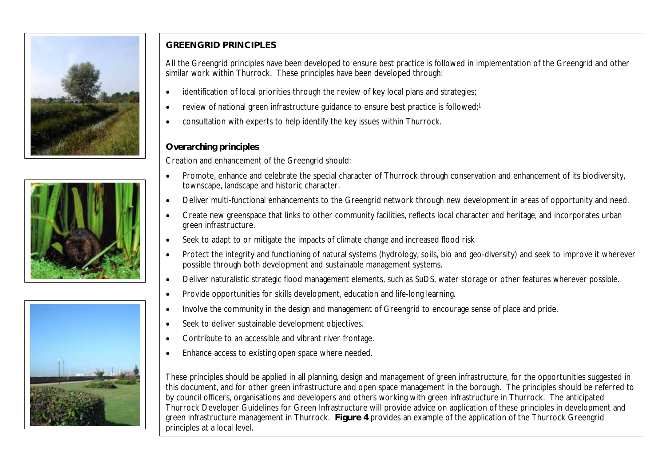





## **GREENGRID PRINCIPLES**

All the Greengrid principles have been developed to ensure best practice is followed in implementation of the Greengrid and other similar work within Thurrock. These principles have been developed through:

- identification of local priorities through the review of key local plans and strategies;
- review of national green infrastructure guidance to ensure best practice is followed;<sup>1</sup>
- consultation with experts to help identify the key issues within Thurrock.

## **Overarching principles**

Creation and enhancement of the Greengrid should:

- x Promote, enhance and celebrate the special character of Thurrock through conservation and enhancement of its biodiversity, townscape, landscape and historic character.
- Deliver multi-functional enhancements to the Greengrid network through new development in areas of opportunity and need.
- Create new greenspace that links to other community facilities, reflects local character and heritage, and incorporates urban green infrastructure.
- Seek to adapt to or mitigate the impacts of climate change and increased flood risk
- Protect the integrity and functioning of natural systems (hydrology, soils, bio and geo-diversity) and seek to improve it wherever possible through both development and sustainable management systems.
- Deliver naturalistic strategic flood management elements, such as SuDS, water storage or other features wherever possible.
- Provide opportunities for skills development, education and life-long learning.
- Involve the community in the design and management of Greengrid to encourage sense of place and pride.
- Seek to deliver sustainable development objectives.
- Contribute to an accessible and vibrant river frontage.
- Enhance access to existing open space where needed.

These principles should be applied in all planning, design and management of green infrastructure, for the opportunities suggested in this document, and for other green infrastructure and open space management in the borough. The principles should be referred to by council officers, organisations and developers and others working with green infrastructure in Thurrock. The anticipated Thurrock Developer Guidelines for Green Infrastructure will provide advice on application of these principles in development and green infrastructure management in Thurrock. **Figure 4** provides an example of the application of the Thurrock Greengrid principles at a local level.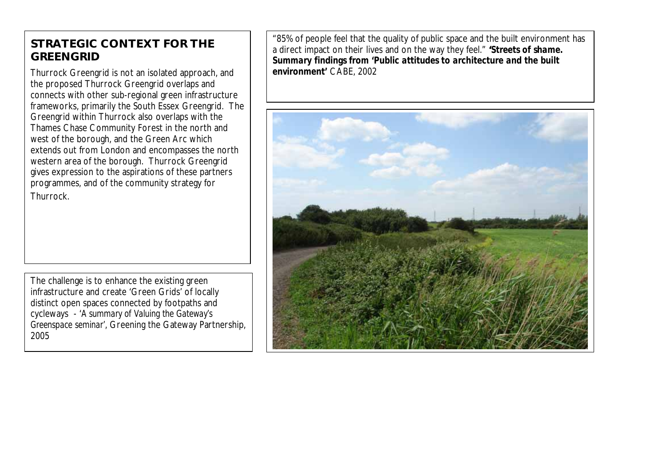# **STRATEGIC CONTEXT FOR THE GREENGRID**

Thurrock Greengrid is not an isolated approach, and the proposed Thurrock Greengrid overlaps and connects with other sub-regional green infrastructure frameworks, primarily the South Essex Greengrid. The Greengrid within Thurrock also overlaps with the Thames Chase Community Forest in the north and west of the borough, and the Green Arc which extends out from London and encompasses the north western area of the borough. Thurrock Greengrid gives expression to the aspirations of these partners programmes, and of the community strategy for Thurrock.

The challenge is to enhance the existing green infrastructure and create 'Green Grids' of locally distinct open spaces connected by footpaths and cycleways - '*A summary of Valuing the Gateway's Greenspace seminar'*, Greening the Gateway Partnership, 2005

"85% of people feel that the quality of public space and the built environment has a direct impact on their lives and on the way they feel." **'***Streets of shame. Summary findings from 'Public attitudes to architecture and the built environment'* CABE, 2002

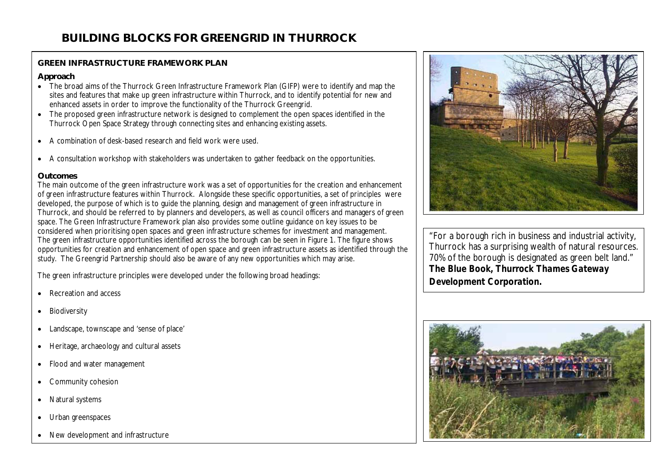## **GREEN INFRASTRUCTURE FRAMEWORK PLAN**

#### **Approach**

- The broad aims of the Thurrock Green Infrastructure Framework Plan (GIFP) were to identify and map the sites and features that make up green infrastructure within Thurrock, and to identify potential for new and enhanced assets in order to improve the functionality of the Thurrock Greengrid.
- The proposed green infrastructure network is designed to complement the open spaces identified in the Thurrock Open Space Strategy through connecting sites and enhancing existing assets.
- A combination of desk-based research and field work were used.
- A consultation workshop with stakeholders was undertaken to gather feedback on the opportunities.

## **Outcomes**

The main outcome of the green infrastructure work was a set of opportunities for the creation and enhancement of green infrastructure features within Thurrock. Alongside these specific opportunities, a set of principles were developed, the purpose of which is to guide the planning, design and management of green infrastructure in Thurrock, and should be referred to by planners and developers, as well as council officers and managers of green space. The Green Infrastructure Framework plan also provides some outline guidance on key issues to be considered when prioritising open spaces and green infrastructure schemes for investment and management. The green infrastructure opportunities identified across the borough can be seen in Figure 1. The figure shows opportunities for creation and enhancement of open space and green infrastructure assets as identified through the study. The Greengrid Partnership should also be aware of any new opportunities which may arise.

The green infrastructure principles were developed under the following broad headings:

- Recreation and access
- Biodiversity
- Landscape, townscape and 'sense of place'
- Heritage, archaeology and cultural assets
- Flood and water management
- Community cohesion
- Natural systems
- Urban greenspaces
- New development and infrastructure



"For a borough rich in business and industrial activity, Thurrock has a surprising wealth of natural resources. 70% of the borough is designated as green belt land." *The Blue Book, Thurrock Thames Gateway Development Corporation.*

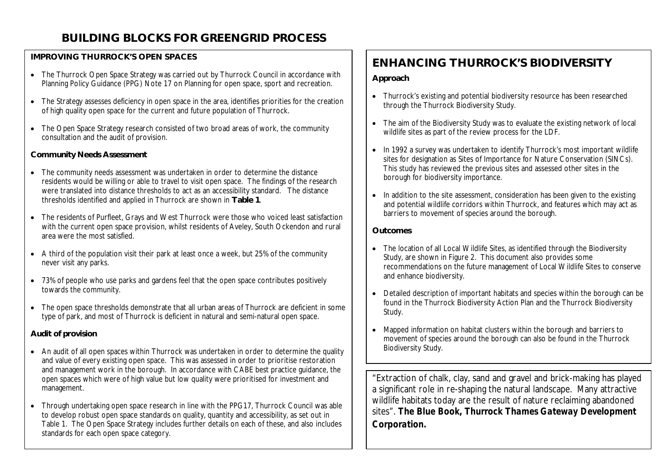# **BUILDING BLOCKS FOR GREENGRID PROCESS**

## **IMPROVING THURROCK'S OPEN SPACES**

- The Thurrock Open Space Strategy was carried out by Thurrock Council in accordance with Planning Policy Guidance (PPG) Note 17 on Planning for open space, sport and recreation.
- The Strategy assesses deficiency in open space in the area, identifies priorities for the creation of high quality open space for the current and future population of Thurrock.
- The Open Space Strategy research consisted of two broad areas of work, the community consultation and the audit of provision.

## **Community Needs Assessment**

- The community needs assessment was undertaken in order to determine the distance residents would be willing or able to travel to visit open space. The findings of the research were translated into distance thresholds to act as an accessibility standard. The distance thresholds identified and applied in Thurrock are shown in **Table 1**.
- The residents of Purfleet, Grays and West Thurrock were those who voiced least satisfaction with the current open space provision, whilst residents of Aveley, South Ockendon and rural area were the most satisfied.
- A third of the population visit their park at least once a week, but 25% of the community never visit any parks.
- 73% of people who use parks and gardens feel that the open space contributes positively towards the community.
- The open space thresholds demonstrate that all urban areas of Thurrock are deficient in some type of park, and most of Thurrock is deficient in natural and semi-natural open space.

## **Audit of provision**

- An audit of all open spaces within Thurrock was undertaken in order to determine the quality and value of every existing open space. This was assessed in order to prioritise restoration and management work in the borough. In accordance with CABE best practice guidance, the open spaces which were of high value but low quality were prioritised for investment and management.
- Through undertaking open space research in line with the PPG17, Thurrock Council was able to develop robust open space standards on quality, quantity and accessibility, as set out in Table 1. The Open Space Strategy includes further details on each of these, and also includes standards for each open space category.

# **ENHANCING THURROCK'S BIODIVERSITY**

#### **Approach**

- Thurrock's existing and potential biodiversity resource has been researched through the Thurrock Biodiversity Study.
- The aim of the Biodiversity Study was to evaluate the existing network of local wildlife sites as part of the review process for the LDF.
- In 1992 a survey was undertaken to identify Thurrock's most important wildlife sites for designation as Sites of Importance for Nature Conservation (SINCs). This study has reviewed the previous sites and assessed other sites in the borough for biodiversity importance.
- In addition to the site assessment, consideration has been given to the existing and potential wildlife corridors within Thurrock, and features which may act as barriers to movement of species around the borough.

## **Outcomes**

- The location of all Local Wildlife Sites, as identified through the Biodiversity Study, are shown in Figure 2. This document also provides some recommendations on the future management of Local Wildlife Sites to conserve and enhance biodiversity.
- Detailed description of important habitats and species within the borough can be found in the Thurrock Biodiversity Action Plan and the Thurrock Biodiversity Study.
- Mapped information on habitat clusters within the borough and barriers to movement of species around the borough can also be found in the Thurrock Biodiversity Study.

"Extraction of chalk, clay, sand and gravel and brick-making has played a significant role in re-shaping the natural landscape. Many attractive wildlife habitats today are the result of nature reclaiming abandoned sites". *The Blue Book, Thurrock Thames Gateway Development Corporation.*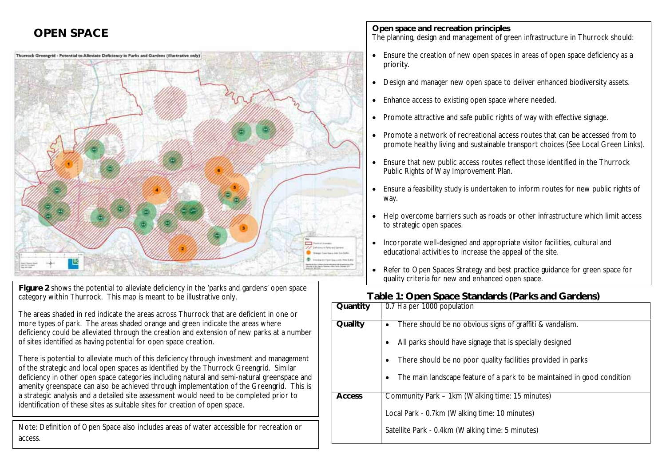## **OPEN SPACE**



**Figure 2** shows the potential to alleviate deficiency in the 'parks and gardens' open space category within Thurrock. This map is meant to be illustrative only.

The areas shaded in red indicate the areas across Thurrock that are deficient in one or more types of park. The areas shaded orange and green indicate the areas where deficiency could be alleviated through the creation and extension of new parks at a number of sites identified as having potential for open space creation.

There is potential to alleviate much of this deficiency through investment and management of the strategic and local open spaces as identified by the Thurrock Greengrid. Similar deficiency in other open space categories including natural and semi-natural greenspace and amenity greenspace can also be achieved through implementation of the Greengrid. This is a strategic analysis and a detailed site assessment would need to be completed prior to identification of these sites as suitable sites for creation of open space.

Note: Definition of Open Space also includes areas of water accessible for recreation or access.

**Open space and recreation principles** The planning, design and management of green infrastructure in Thurrock should:

- Ensure the creation of new open spaces in areas of open space deficiency as a priority.
- Design and manager new open space to deliver enhanced biodiversity assets.
- Enhance access to existing open space where needed.
- Promote attractive and safe public rights of way with effective signage.
- Promote a network of recreational access routes that can be accessed from to promote healthy living and sustainable transport choices (See Local Green Links).
- Ensure that new public access routes reflect those identified in the Thurrock Public Rights of Way Improvement Plan.
- Ensure a feasibility study is undertaken to inform routes for new public rights of way.
- Help overcome barriers such as roads or other infrastructure which limit access to strategic open spaces.
- Incorporate well-designed and appropriate visitor facilities, cultural and educational activities to increase the appeal of the site.
- Refer to Open Spaces Strategy and best practice guidance for green space for quality criteria for new and enhanced open space.

## **Table 1: Open Space Standards (Parks and Gardens)**

| Quantity      | 0.7 Ha per 1000 population                                                                                                                                                                                                                                                 |
|---------------|----------------------------------------------------------------------------------------------------------------------------------------------------------------------------------------------------------------------------------------------------------------------------|
| Quality       | There should be no obvious signs of graffiti & vandalism.<br>٠<br>All parks should have signage that is specially designed<br>There should be no poor quality facilities provided in parks<br>٠<br>The main landscape feature of a park to be maintained in good condition |
| <b>Access</b> | Community Park – 1km (Walking time: 15 minutes)<br>Local Park - 0.7km (Walking time: 10 minutes)<br>Satellite Park - 0.4km (Walking time: 5 minutes)                                                                                                                       |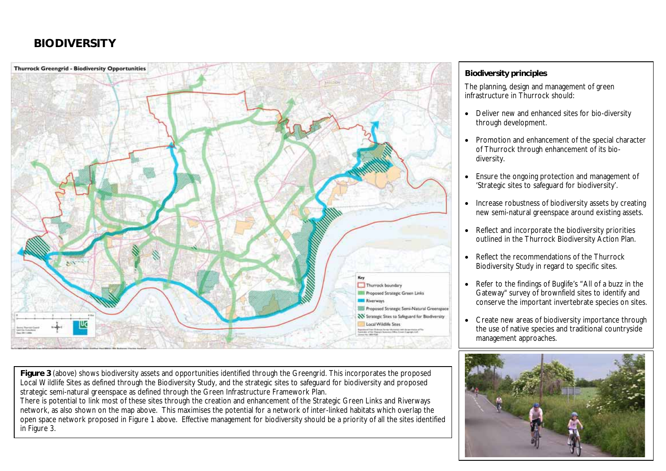# **BIODIVERSITY**



## **Biodiversity principles**

The planning, design and management of green infrastructure in Thurrock should:

- Deliver new and enhanced sites for bio-diversity through development.
- Promotion and enhancement of the special character of Thurrock through enhancement of its biodiversity.
- Ensure the ongoing protection and management of 'Strategic sites to safeguard for biodiversity'.
- Increase robustness of biodiversity assets by creating new semi-natural greenspace around existing assets.
- $\bullet$  Reflect and incorporate the biodiversity priorities outlined in the Thurrock Biodiversity Action Plan.
- Reflect the recommendations of the Thurrock Biodiversity Study in regard to specific sites.
- Refer to the findings of Buglife's "All of a buzz in the Gateway" survey of brownfield sites to identify and conserve the important invertebrate species on sites.
- Create new areas of biodiversity importance through the use of native species and traditional countryside management approaches.



**Figure 3** (above) shows biodiversity assets and opportunities identified through the Greengrid. This incorporates the proposed Local Wildlife Sites as defined through the Biodiversity Study, and the strategic sites to safeguard for biodiversity and proposed strategic semi-natural greenspace as defined through the Green Infrastructure Framework Plan.

There is potential to link most of these sites through the creation and enhancement of the Strategic Green Links and Riverways network, as also shown on the map above. This maximises the potential for a network of inter-linked habitats which overlap the open space network proposed in Figure 1 above. Effective management for biodiversity should be a priority of all the sites identified in Figure 3.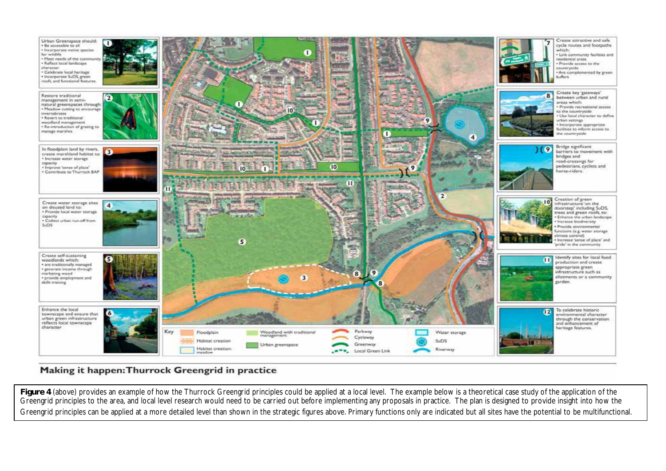

## Making it happen: Thurrock Greengrid in practice

Figure 4 (above) provides an example of how the Thurrock Greengrid principles could be applied at a local level. The example below is a theoretical case study of the application of the Greengrid principles to the area, and local level research would need to be carried out before implementing any proposals in practice. The plan is designed to provide insight into how the Greengrid principles can be applied at a more detailed level than shown in the strategic figures above. Primary functions only are indicated but all sites have the potential to be multifunctional.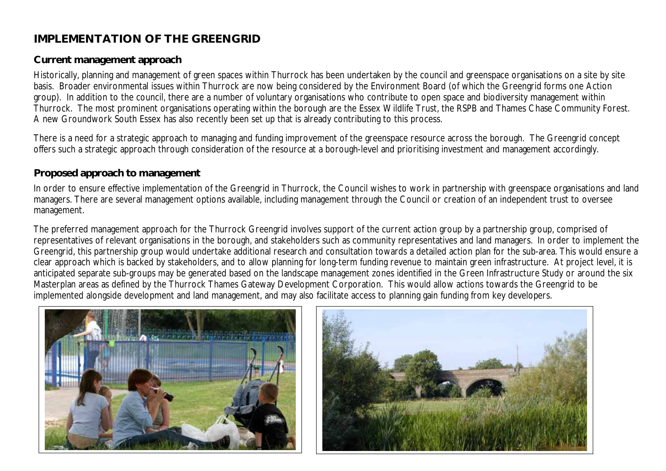# **IMPLEMENTATION OF THE GREENGRID**

## **Current management approach**

Historically, planning and management of green spaces within Thurrock has been undertaken by the council and greenspace organisations on a site by site basis. Broader environmental issues within Thurrock are now being considered by the Environment Board (of which the Greengrid forms one Action group). In addition to the council, there are a number of voluntary organisations who contribute to open space and biodiversity management within Thurrock. The most prominent organisations operating within the borough are the Essex Wildlife Trust, the RSPB and Thames Chase Community Forest. A new Groundwork South Essex has also recently been set up that is already contributing to this process.

There is a need for a strategic approach to managing and funding improvement of the greenspace resource across the borough. The Greengrid concept offers such a strategic approach through consideration of the resource at a borough-level and prioritising investment and management accordingly.

## **Proposed approach to management**

In order to ensure effective implementation of the Greengrid in Thurrock, the Council wishes to work in partnership with greenspace organisations and land managers. There are several management options available, including management through the Council or creation of an independent trust to oversee management.

The preferred management approach for the Thurrock Greengrid involves support of the current action group by a partnership group, comprised of representatives of relevant organisations in the borough, and stakeholders such as community representatives and land managers. In order to implement the Greengrid, this partnership group would undertake additional research and consultation towards a detailed action plan for the sub-area. This would ensure a clear approach which is backed by stakeholders, and to allow planning for long-term funding revenue to maintain green infrastructure. At project level, it is anticipated separate sub-groups may be generated based on the landscape management zones identified in the Green Infrastructure Study or around the six Masterplan areas as defined by the Thurrock Thames Gateway Development Corporation. This would allow actions towards the Greengrid to be implemented alongside development and land management, and may also facilitate access to planning gain funding from key developers.



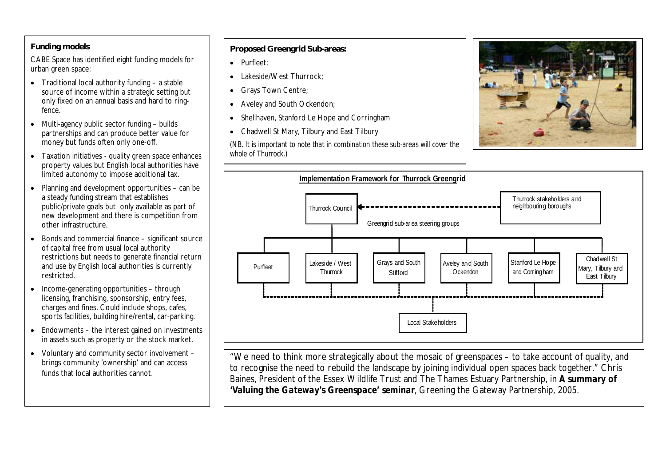#### **Funding models**

CABE Space has identified eight funding models for urban green space:

- $\bullet$  Traditional local authority funding a stable source of income within a strategic setting but only fixed on an annual basis and hard to ringfence.
- $\bullet$  Multi-agency public sector funding builds partnerships and can produce better value for money but funds often only one-off.
- Taxation initiatives quality green space enhances property values but English local authorities have limited autonomy to impose additional tax.
- $\bullet$  Planning and development opportunities can be a steady funding stream that establishes public/private goals but only available as part of new development and there is competition from other infrastructure.
- Bonds and commercial finance significant source of capital free from usual local authority restrictions but needs to generate financial return and use by English local authorities is currently restricted.
- $\bullet$  Income-generating opportunities through licensing, franchising, sponsorship, entry fees, charges and fines. Could include shops, cafes, sports facilities, building hire/rental, car-parking.
- $\bullet$  Endowments the interest gained on investments in assets such as property or the stock market.
- Voluntary and community sector involvement brings community 'ownership' and can access funds that local authorities cannot.

#### **Proposed Greengrid Sub-areas:**

- Purfleet:
- Lakeside/West Thurrock;
- Grays Town Centre;
- Aveley and South Ockendon;
- Shellhaven, Stanford Le Hope and Corringham
- x Chadwell St Mary, Tilbury and East Tilbury

*(NB. It is important to note that in combination these sub-areas will cover the whole of Thurrock.)*



"We need to think more strategically about the mosaic of greenspaces – to take account of quality, and to recognise the need to rebuild the landscape by joining individual open spaces back together." Chris Baines, President of the Essex Wildlife Trust and The Thames Estuary Partnership, in *A summary of 'Valuing the Gateway's Greenspace' seminar*, Greening the Gateway Partnership, 2005.

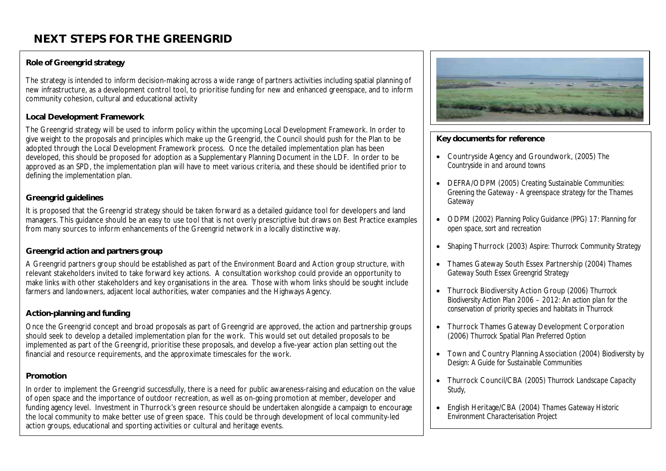# **NEXT STEPS FOR THE GREENGRID**

## **Role of Greengrid strategy**

The strategy is intended to inform decision-making across a wide range of partners activities including spatial planning of new infrastructure, as a development control tool, to prioritise funding for new and enhanced greenspace, and to inform community cohesion, cultural and educational activity

#### **Local Development Framework**

The Greengrid strategy will be used to inform policy within the upcoming Local Development Framework. In order to give weight to the proposals and principles which make up the Greengrid, the Council should push for the Plan to be adopted through the Local Development Framework process. Once the detailed implementation plan has been developed, this should be proposed for adoption as a Supplementary Planning Document in the LDF. In order to be approved as an SPD, the implementation plan will have to meet various criteria, and these should be identified prior to defining the implementation plan.

## **Greengrid guidelines**

It is proposed that the Greengrid strategy should be taken forward as a detailed guidance tool for developers and land managers. This guidance should be an easy to use tool that is not overly prescriptive but draws on Best Practice examples from many sources to inform enhancements of the Greengrid network in a locally distinctive way.

## **Greengrid action and partners group**

A Greengrid partners group should be established as part of the Environment Board and Action group structure, with relevant stakeholders invited to take forward key actions. A consultation workshop could provide an opportunity to make links with other stakeholders and key organisations in the area. Those with whom links should be sought include farmers and landowners, adjacent local authorities, water companies and the Highways Agency.

#### **Action-planning and funding**

Once the Greengrid concept and broad proposals as part of Greengrid are approved, the action and partnership groups should seek to develop a detailed implementation plan for the work. This would set out detailed proposals to be implemented as part of the Greengrid, prioritise these proposals, and develop a five-year action plan setting out the financial and resource requirements, and the approximate timescales for the work.

#### **Promotion**

In order to implement the Greengrid successfully, there is a need for public awareness-raising and education on the value of open space and the importance of outdoor recreation, as well as on-going promotion at member, developer and funding agency level. Investment in Thurrock's green resource should be undertaken alongside a campaign to encourage the local community to make better use of green space. This could be through development of local community-led action groups, educational and sporting activities or cultural and heritage events.



## **Key documents for reference**

- x Countryside Agency and Groundwork, (2005) *The Countryside in and around towns*
- x DEFRA/ODPM (2005) *Creating Sustainable Communities: Greening the Gateway - A greenspace strategy for the Thames Gateway*
- x ODPM (2002) *Planning Policy Guidance (PPG) 17: Planning for open space, sort and recreation*
- x Shaping Thurrock (2003) *Aspire: Thurrock Community Strategy*
- x Thames Gateway South Essex Partnership (2004) *Thames Gateway South Essex Greengrid Strategy*
- x Thurrock Biodiversity Action Group (2006) *Thurrock Biodiversity Action Plan 2006 – 2012: An action plan for the conservation of priority species and habitats in Thurrock*
- Thurrock Thames Gateway Development Corporation (2006) *Thurrock Spatial Plan Preferred Option*
- x Town and Country Planning Association (200*4*) *Biodiversity by Design: A Guide for Sustainable Communities*
- x Thurrock Council/CBA (2005*) Thurrock Landscape Capacity Study,*
- x English Heritage/CBA (2004) *Thames Gateway Historic Environment Characterisation Project*